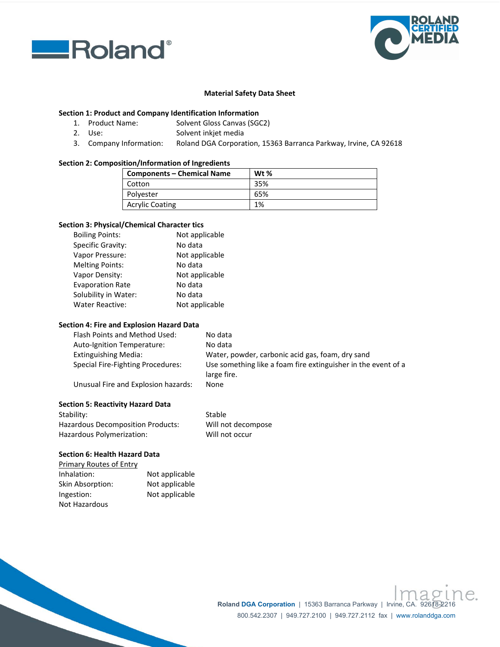



### **Material Safety Data Sheet**

### **Section 1: Product and Company Identification Information**

- 1. Product Name: Solvent Gloss Canvas (SGC2)
- 2. Use: Solvent inkjet media
- 3. Company Information: Roland DGA Corporation, 15363 Barranca Parkway, Irvine, CA 92618

### **Section 2: Composition/Information of Ingredients**

| <b>Components - Chemical Name</b> | Wt $%$ |
|-----------------------------------|--------|
| Cotton                            | 35%    |
| Polyester                         | 65%    |
| <b>Acrylic Coating</b>            | 1%     |

## **Section 3: Physical/Chemical Character tics**

| <b>Boiling Points:</b>  | Not applicable |
|-------------------------|----------------|
| Specific Gravity:       | No data        |
| Vapor Pressure:         | Not applicable |
| <b>Melting Points:</b>  | No data        |
| Vapor Density:          | Not applicable |
| <b>Evaporation Rate</b> | No data        |
| Solubility in Water:    | No data        |
| <b>Water Reactive:</b>  | Not applicable |

## **Section 4: Fire and Explosion Hazard Data**

| Flash Points and Method Used:       | No data                                                                      |
|-------------------------------------|------------------------------------------------------------------------------|
| Auto-Ignition Temperature:          | No data                                                                      |
| Extinguishing Media:                | Water, powder, carbonic acid gas, foam, dry sand                             |
| Special Fire-Fighting Procedures:   | Use something like a foam fire extinguisher in the event of a<br>large fire. |
| Unusual Fire and Explosion hazards: | None                                                                         |

Will not decompose Will not occur

Stable

#### **Section 5: Reactivity Hazard Data**

| Stability:                        |  |
|-----------------------------------|--|
| Hazardous Decomposition Products: |  |
| Hazardous Polymerization:         |  |

# **Section 6: Health Hazard Data**

| <b>Primary Routes of Entry</b> |                |
|--------------------------------|----------------|
| Inhalation:                    | Not applicable |
| Skin Absorption:               | Not applicable |
| Ingestion:                     | Not applicable |
| Not Hazardous                  |                |